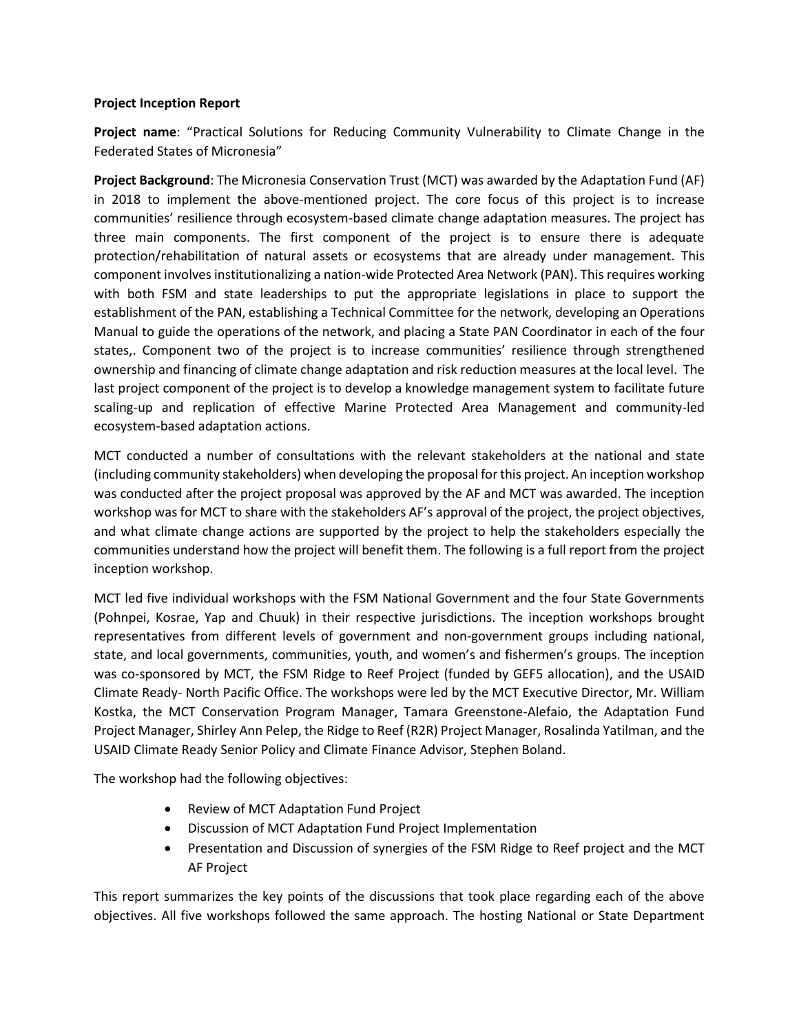#### **Project Inception Report**

**Project name**: "Practical Solutions for Reducing Community Vulnerability to Climate Change in the Federated States of Micronesia"

**Project Background**: The Micronesia Conservation Trust (MCT) was awarded by the Adaptation Fund (AF) in 2018 to implement the above-mentioned project. The core focus of this project is to increase communities' resilience through ecosystem-based climate change adaptation measures. The project has three main components. The first component of the project is to ensure there is adequate protection/rehabilitation of natural assets or ecosystems that are already under management. This component involves institutionalizing a nation-wide Protected Area Network (PAN). This requires working with both FSM and state leaderships to put the appropriate legislations in place to support the establishment of the PAN, establishing a Technical Committee for the network, developing an Operations Manual to guide the operations of the network, and placing a State PAN Coordinator in each of the four states,. Component two of the project is to increase communities' resilience through strengthened ownership and financing of climate change adaptation and risk reduction measures at the local level. The last project component of the project is to develop a knowledge management system to facilitate future scaling-up and replication of effective Marine Protected Area Management and community-led ecosystem-based adaptation actions.

MCT conducted a number of consultations with the relevant stakeholders at the national and state (including community stakeholders) when developing the proposal for this project. An inception workshop was conducted after the project proposal was approved by the AF and MCT was awarded. The inception workshop was for MCT to share with the stakeholders AF's approval of the project, the project objectives, and what climate change actions are supported by the project to help the stakeholders especially the communities understand how the project will benefit them. The following is a full report from the project inception workshop.

MCT led five individual workshops with the FSM National Government and the four State Governments (Pohnpei, Kosrae, Yap and Chuuk) in their respective jurisdictions. The inception workshops brought representatives from different levels of government and non-government groups including national, state, and local governments, communities, youth, and women's and fishermen's groups. The inception was co-sponsored by MCT, the FSM Ridge to Reef Project (funded by GEF5 allocation), and the USAID Climate Ready- North Pacific Office. The workshops were led by the MCT Executive Director, Mr. William Kostka, the MCT Conservation Program Manager, Tamara Greenstone-Alefaio, the Adaptation Fund Project Manager, Shirley Ann Pelep, the Ridge to Reef (R2R) Project Manager, Rosalinda Yatilman, and the USAID Climate Ready Senior Policy and Climate Finance Advisor, Stephen Boland.

The workshop had the following objectives:

- Review of MCT Adaptation Fund Project
- Discussion of MCT Adaptation Fund Project Implementation
- Presentation and Discussion of synergies of the FSM Ridge to Reef project and the MCT AF Project

This report summarizes the key points of the discussions that took place regarding each of the above objectives. All five workshops followed the same approach. The hosting National or State Department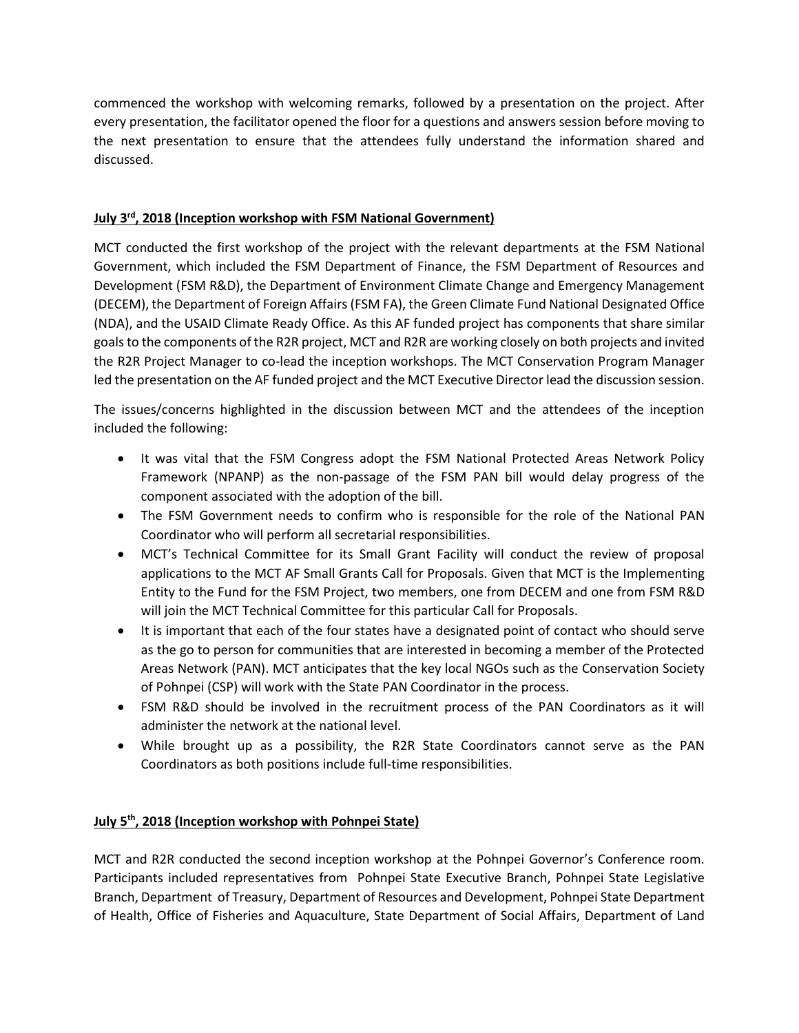commenced the workshop with welcoming remarks, followed by a presentation on the project. After every presentation, the facilitator opened the floor for a questions and answers session before moving to the next presentation to ensure that the attendees fully understand the information shared and discussed.

# **July 3rd, 2018 (Inception workshop with FSM National Government)**

MCT conducted the first workshop of the project with the relevant departments at the FSM National Government, which included the FSM Department of Finance, the FSM Department of Resources and Development (FSM R&D), the Department of Environment Climate Change and Emergency Management (DECEM), the Department of Foreign Affairs (FSM FA), the Green Climate Fund National Designated Office (NDA), and the USAID Climate Ready Office. As this AF funded project has components that share similar goalsto the components of the R2R project, MCT and R2R are working closely on both projects and invited the R2R Project Manager to co-lead the inception workshops. The MCT Conservation Program Manager led the presentation on the AF funded project and the MCT Executive Director lead the discussion session.

The issues/concerns highlighted in the discussion between MCT and the attendees of the inception included the following:

- It was vital that the FSM Congress adopt the FSM National Protected Areas Network Policy Framework (NPANP) as the non-passage of the FSM PAN bill would delay progress of the component associated with the adoption of the bill.
- The FSM Government needs to confirm who is responsible for the role of the National PAN Coordinator who will perform all secretarial responsibilities.
- MCT's Technical Committee for its Small Grant Facility will conduct the review of proposal applications to the MCT AF Small Grants Call for Proposals. Given that MCT is the Implementing Entity to the Fund for the FSM Project, two members, one from DECEM and one from FSM R&D will join the MCT Technical Committee for this particular Call for Proposals.
- It is important that each of the four states have a designated point of contact who should serve as the go to person for communities that are interested in becoming a member of the Protected Areas Network (PAN). MCT anticipates that the key local NGOs such as the Conservation Society of Pohnpei (CSP) will work with the State PAN Coordinator in the process.
- FSM R&D should be involved in the recruitment process of the PAN Coordinators as it will administer the network at the national level.
- While brought up as a possibility, the R2R State Coordinators cannot serve as the PAN Coordinators as both positions include full-time responsibilities.

## **July 5th, 2018 (Inception workshop with Pohnpei State)**

MCT and R2R conducted the second inception workshop at the Pohnpei Governor's Conference room. Participants included representatives from Pohnpei State Executive Branch, Pohnpei State Legislative Branch, Department of Treasury, Department of Resources and Development, Pohnpei State Department of Health, Office of Fisheries and Aquaculture, State Department of Social Affairs, Department of Land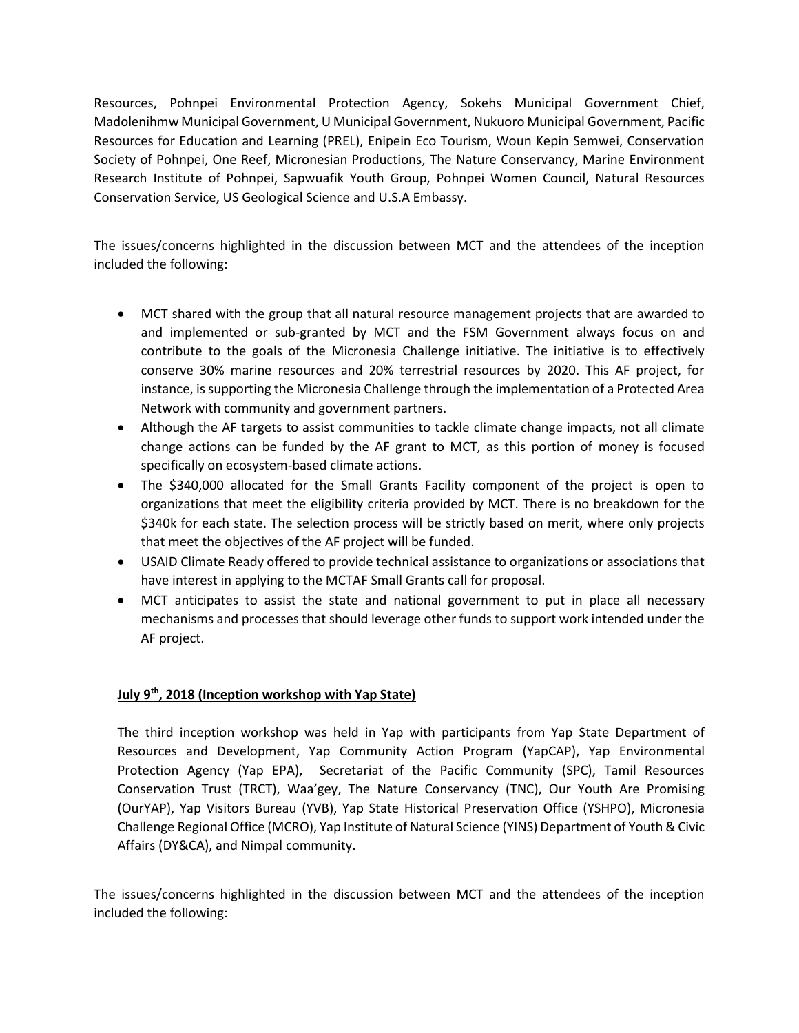Resources, Pohnpei Environmental Protection Agency, Sokehs Municipal Government Chief, Madolenihmw Municipal Government, U Municipal Government, Nukuoro Municipal Government, Pacific Resources for Education and Learning (PREL), Enipein Eco Tourism, Woun Kepin Semwei, Conservation Society of Pohnpei, One Reef, Micronesian Productions, The Nature Conservancy, Marine Environment Research Institute of Pohnpei, Sapwuafik Youth Group, Pohnpei Women Council, Natural Resources Conservation Service, US Geological Science and U.S.A Embassy.

The issues/concerns highlighted in the discussion between MCT and the attendees of the inception included the following:

- MCT shared with the group that all natural resource management projects that are awarded to and implemented or sub-granted by MCT and the FSM Government always focus on and contribute to the goals of the Micronesia Challenge initiative. The initiative is to effectively conserve 30% marine resources and 20% terrestrial resources by 2020. This AF project, for instance, is supporting the Micronesia Challenge through the implementation of a Protected Area Network with community and government partners.
- Although the AF targets to assist communities to tackle climate change impacts, not all climate change actions can be funded by the AF grant to MCT, as this portion of money is focused specifically on ecosystem-based climate actions.
- The \$340,000 allocated for the Small Grants Facility component of the project is open to organizations that meet the eligibility criteria provided by MCT. There is no breakdown for the \$340k for each state. The selection process will be strictly based on merit, where only projects that meet the objectives of the AF project will be funded.
- USAID Climate Ready offered to provide technical assistance to organizations or associations that have interest in applying to the MCTAF Small Grants call for proposal.
- MCT anticipates to assist the state and national government to put in place all necessary mechanisms and processes that should leverage other funds to support work intended under the AF project.

## **July 9th, 2018 (Inception workshop with Yap State)**

The third inception workshop was held in Yap with participants from Yap State Department of Resources and Development, Yap Community Action Program (YapCAP), Yap Environmental Protection Agency (Yap EPA), Secretariat of the Pacific Community (SPC), Tamil Resources Conservation Trust (TRCT), Waa'gey, The Nature Conservancy (TNC), Our Youth Are Promising (OurYAP), Yap Visitors Bureau (YVB), Yap State Historical Preservation Office (YSHPO), Micronesia Challenge Regional Office (MCRO), Yap Institute of Natural Science (YINS) Department of Youth & Civic Affairs (DY&CA), and Nimpal community.

The issues/concerns highlighted in the discussion between MCT and the attendees of the inception included the following: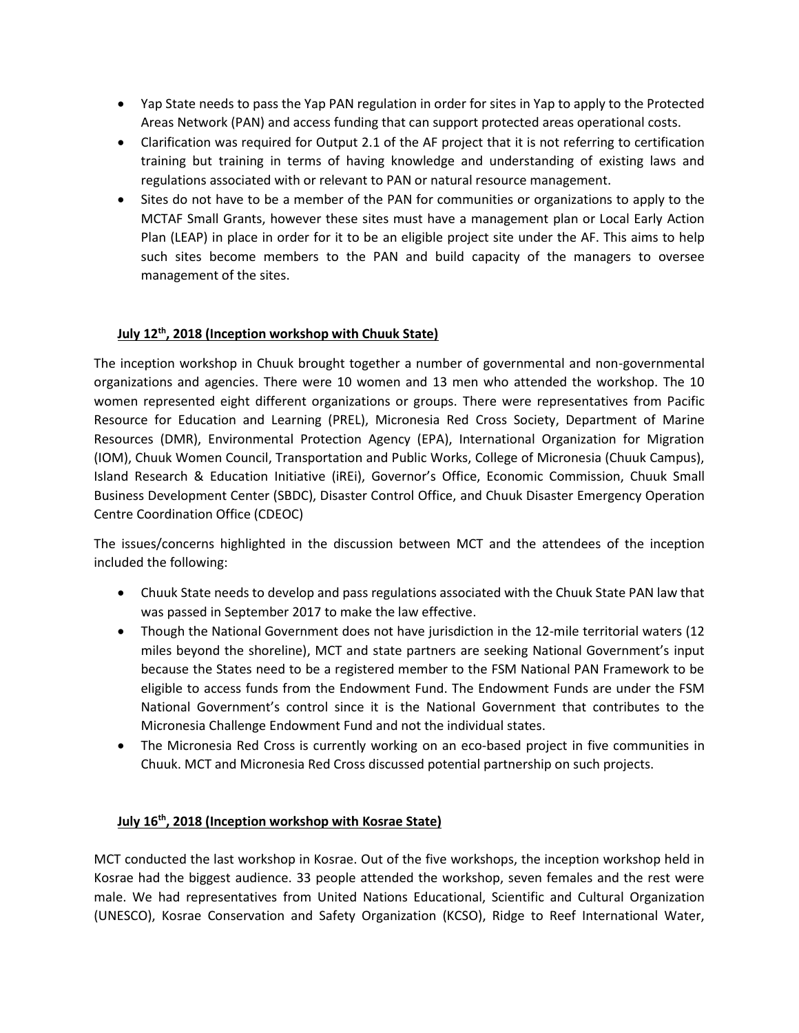- Yap State needs to pass the Yap PAN regulation in order for sites in Yap to apply to the Protected Areas Network (PAN) and access funding that can support protected areas operational costs.
- Clarification was required for Output 2.1 of the AF project that it is not referring to certification training but training in terms of having knowledge and understanding of existing laws and regulations associated with or relevant to PAN or natural resource management.
- Sites do not have to be a member of the PAN for communities or organizations to apply to the MCTAF Small Grants, however these sites must have a management plan or Local Early Action Plan (LEAP) in place in order for it to be an eligible project site under the AF. This aims to help such sites become members to the PAN and build capacity of the managers to oversee management of the sites.

## **July 12th, 2018 (Inception workshop with Chuuk State)**

The inception workshop in Chuuk brought together a number of governmental and non-governmental organizations and agencies. There were 10 women and 13 men who attended the workshop. The 10 women represented eight different organizations or groups. There were representatives from Pacific Resource for Education and Learning (PREL), Micronesia Red Cross Society, Department of Marine Resources (DMR), Environmental Protection Agency (EPA), International Organization for Migration (IOM), Chuuk Women Council, Transportation and Public Works, College of Micronesia (Chuuk Campus), Island Research & Education Initiative (iREi), Governor's Office, Economic Commission, Chuuk Small Business Development Center (SBDC), Disaster Control Office, and Chuuk Disaster Emergency Operation Centre Coordination Office (CDEOC)

The issues/concerns highlighted in the discussion between MCT and the attendees of the inception included the following:

- Chuuk State needs to develop and pass regulations associated with the Chuuk State PAN law that was passed in September 2017 to make the law effective.
- Though the National Government does not have jurisdiction in the 12-mile territorial waters (12 miles beyond the shoreline), MCT and state partners are seeking National Government's input because the States need to be a registered member to the FSM National PAN Framework to be eligible to access funds from the Endowment Fund. The Endowment Funds are under the FSM National Government's control since it is the National Government that contributes to the Micronesia Challenge Endowment Fund and not the individual states.
- The Micronesia Red Cross is currently working on an eco-based project in five communities in Chuuk. MCT and Micronesia Red Cross discussed potential partnership on such projects.

#### **July 16th, 2018 (Inception workshop with Kosrae State)**

MCT conducted the last workshop in Kosrae. Out of the five workshops, the inception workshop held in Kosrae had the biggest audience. 33 people attended the workshop, seven females and the rest were male. We had representatives from United Nations Educational, Scientific and Cultural Organization (UNESCO), Kosrae Conservation and Safety Organization (KCSO), Ridge to Reef International Water,